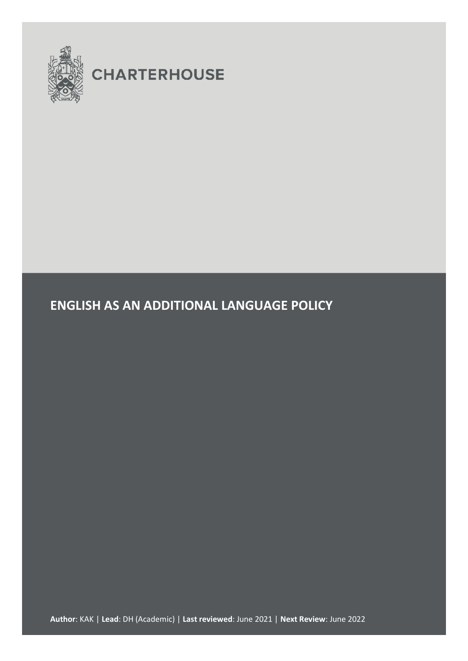

# **CHARTERHOUSE**

# **ENGLISH AS AN ADDITIONAL LANGUAGE POLICY**

**Author**: KAK | **Lead**: DH (Academic) | **Last reviewed**: June 2021 | **Next Review**: June 2022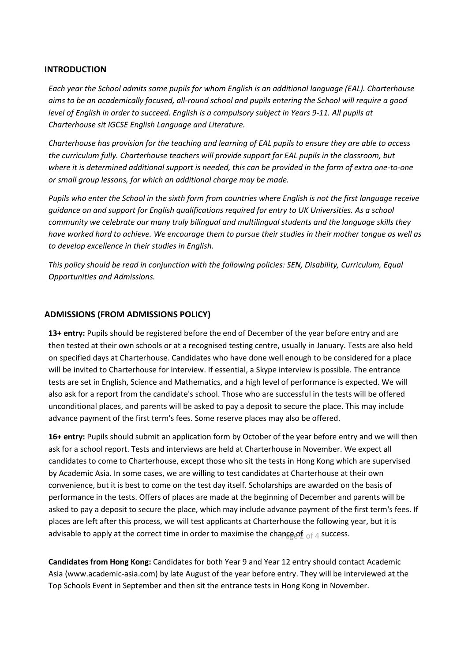#### **INTRODUCTION**

*Each year the School admits some pupils for whom English is an additional language (EAL). Charterhouse aims to be an academically focused, all-round school and pupils entering the School will require a good level of English in order to succeed. English is a compulsory subject in Years 9-11. All pupils at Charterhouse sit IGCSE English Language and Literature.*

*Charterhouse has provision for the teaching and learning of EAL pupils to ensure they are able to access the curriculum fully. Charterhouse teachers will provide support for EAL pupils in the classroom, but where it is determined additional support is needed, this can be provided in the form of extra one-to-one or small group lessons, for which an additional charge may be made.*

*Pupils who enter the School in the sixth form from countries where English is not the first language receive guidance on and support for English qualifications required for entry to UK Universities. As a school community we celebrate our many truly bilingual and multilingual students and the language skills they have worked hard to achieve. We encourage them to pursue their studies in their mother tongue as well as to develop excellence in their studies in English.*

*This policy should be read in conjunction with the following policies: SEN, Disability, Curriculum, Equal Opportunities and Admissions.*

#### **ADMISSIONS (FROM ADMISSIONS POLICY)**

**13+ entry:** Pupils should be registered before the end of December of the year before entry and are then tested at their own schools or at a recognised testing centre, usually in January. Tests are also held on specified days at Charterhouse. Candidates who have done well enough to be considered for a place will be invited to Charterhouse for interview. If essential, a Skype interview is possible. The entrance tests are set in English, Science and Mathematics, and a high level of performance is expected. We will also ask for a report from the candidate's school. Those who are successful in the tests will be offered unconditional places, and parents will be asked to pay a deposit to secure the place. This may include advance payment of the first term's fees. Some reserve places may also be offered.

**16+ entry:** Pupils should submit an application form by October of the year before entry and we will then ask for a school report. Tests and interviews are held at Charterhouse in November. We expect all candidates to come to Charterhouse, except those who sit the tests in Hong Kong which are supervised by Academic Asia. In some cases, we are willing to test candidates at Charterhouse at their own convenience, but it is best to come on the test day itself. Scholarships are awarded on the basis of performance in the tests. Offers of places are made at the beginning of December and parents will be asked to pay a deposit to secure the place, which may include advance payment of the first term's fees. If places are left after this process, we will test applicants at Charterhouse the following year, but it is advisable to apply at the correct time in order to maximise the chap $\mathsf{gg}\mathsf{of}_{\hspace{1pt} \mathsf{of} \hspace{1pt} 4}$  success.

**Candidates from Hong Kong:** Candidates for both Year 9 and Year 12 entry should contact Academic Asia (www.academic-asia.com) by late August of the year before entry. They will be interviewed at the Top Schools Event in September and then sit the entrance tests in Hong Kong in November.